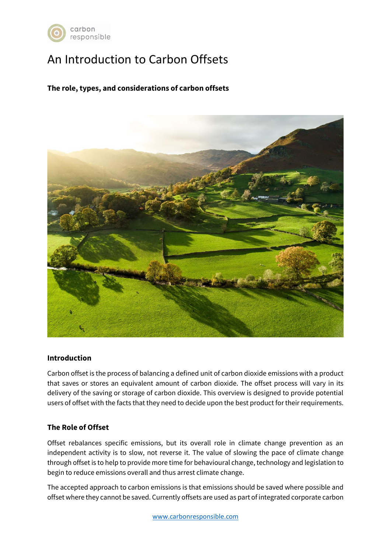

# An Introduction to Carbon Offsets

**The role, types, and considerations of carbon offsets**



#### **Introduction**

Carbon offset is the process of balancing a defined unit of carbon dioxide emissions with a product that saves or stores an equivalent amount of carbon dioxide. The offset process will vary in its delivery of the saving or storage of carbon dioxide. This overview is designed to provide potential users of offset with the facts that they need to decide upon the best product for their requirements.

# **The Role of Offset**

Offset rebalances specific emissions, but its overall role in climate change prevention as an independent activity is to slow, not reverse it. The value of slowing the pace of climate change through offset is to help to provide more time for behavioural change, technology and legislation to begin to reduce emissions overall and thus arrest climate change.

The accepted approach to carbon emissions is that emissions should be saved where possible and offset where they cannot be saved. Currently offsets are used as part of integrated corporate carbon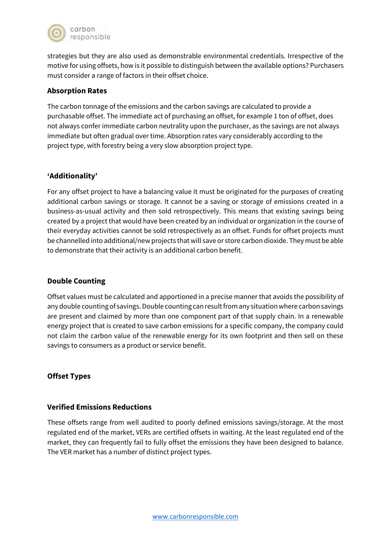

strategies but they are also used as demonstrable environmental credentials. Irrespective of the motive for using offsets, how is it possible to distinguish between the available options? Purchasers must consider a range of factors in their offset choice.

# **Absorption Rates**

The carbon tonnage of the emissions and the carbon savings are calculated to provide a purchasable offset. The immediate act of purchasing an offset, for example 1 ton of offset, does not always confer immediate carbon neutrality upon the purchaser, as the savings are not always immediate but often gradual over time. Absorption rates vary considerably according to the project type, with forestry being a very slow absorption project type.

## **'Additionality'**

For any offset project to have a balancing value it must be originated for the purposes of creating additional carbon savings or storage. It cannot be a saving or storage of emissions created in a business-as-usual activity and then sold retrospectively. This means that existing savings being created by a project that would have been created by an individual or organization in the course of their everyday activities cannot be sold retrospectively as an offset. Funds for offset projects must be channelled into additional/new projects that will save or store carbon dioxide. They must be able to demonstrate that their activity is an additional carbon benefit.

# **Double Counting**

Offset values must be calculated and apportioned in a precise manner that avoids the possibility of any double counting of savings. Double counting can result from any situation where carbon savings are present and claimed by more than one component part of that supply chain. In a renewable energy project that is created to save carbon emissions for a specific company, the company could not claim the carbon value of the renewable energy for its own footprint and then sell on these savings to consumers as a product or service benefit.

# **Offset Types**

#### **Verified Emissions Reductions**

These offsets range from well audited to poorly defined emissions savings/storage. At the most regulated end of the market, VERs are certified offsets in waiting. At the least regulated end of the market, they can frequently fail to fully offset the emissions they have been designed to balance. The VER market has a number of distinct project types.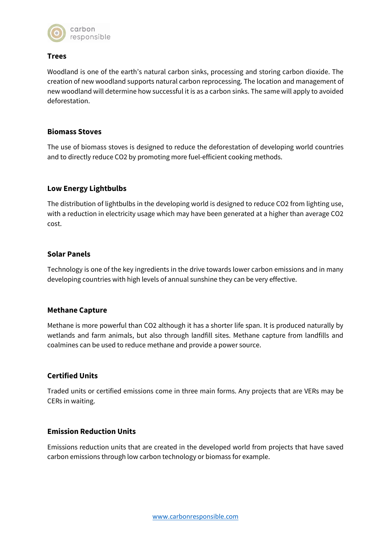

# **Trees**

Woodland is one of the earth's natural carbon sinks, processing and storing carbon dioxide. The creation of new woodland supports natural carbon reprocessing. The location and management of new woodland will determine how successful it is as a carbon sinks. The same will apply to avoided deforestation.

## **Biomass Stoves**

The use of biomass stoves is designed to reduce the deforestation of developing world countries and to directly reduce CO2 by promoting more fuel-efficient cooking methods.

## **Low Energy Lightbulbs**

The distribution of lightbulbs in the developing world is designed to reduce CO2 from lighting use, with a reduction in electricity usage which may have been generated at a higher than average CO2 cost.

## **Solar Panels**

Technology is one of the key ingredients in the drive towards lower carbon emissions and in many developing countries with high levels of annual sunshine they can be very effective.

#### **Methane Capture**

Methane is more powerful than CO2 although it has a shorter life span. It is produced naturally by wetlands and farm animals, but also through landfill sites. Methane capture from landfills and coalmines can be used to reduce methane and provide a power source.

#### **Certified Units**

Traded units or certified emissions come in three main forms. Any projects that are VERs may be CERs in waiting.

#### **Emission Reduction Units**

Emissions reduction units that are created in the developed world from projects that have saved carbon emissions through low carbon technology or biomass for example.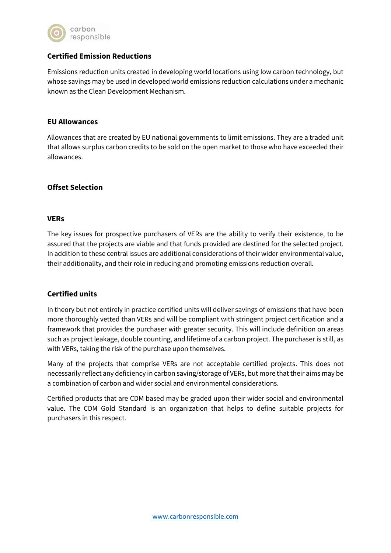

# **Certified Emission Reductions**

Emissions reduction units created in developing world locations using low carbon technology, but whose savings may be used in developed world emissions reduction calculations under a mechanic known as the Clean Development Mechanism.

#### **EU Allowances**

Allowances that are created by EU national governments to limit emissions. They are a traded unit that allows surplus carbon credits to be sold on the open market to those who have exceeded their allowances.

## **Offset Selection**

#### **VERs**

The key issues for prospective purchasers of VERs are the ability to verify their existence, to be assured that the projects are viable and that funds provided are destined for the selected project. In addition to these central issues are additional considerations of their wider environmental value, their additionality, and their role in reducing and promoting emissions reduction overall.

#### **Certified units**

In theory but not entirely in practice certified units will deliver savings of emissions that have been more thoroughly vetted than VERs and will be compliant with stringent project certification and a framework that provides the purchaser with greater security. This will include definition on areas such as project leakage, double counting, and lifetime of a carbon project. The purchaser is still, as with VERs, taking the risk of the purchase upon themselves.

Many of the projects that comprise VERs are not acceptable certified projects. This does not necessarily reflect any deficiency in carbon saving/storage of VERs, but more that their aims may be a combination of carbon and wider social and environmental considerations.

Certified products that are CDM based may be graded upon their wider social and environmental value. The CDM Gold Standard is an organization that helps to define suitable projects for purchasers in this respect.